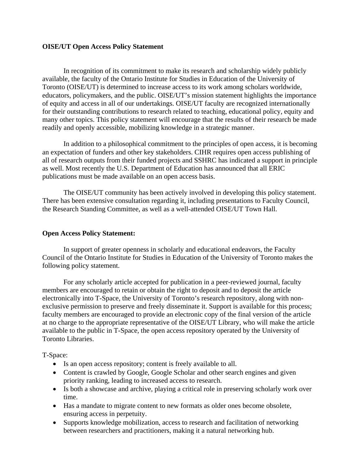## **OISE/UT Open Access Policy Statement**

 In recognition of its commitment to make its research and scholarship widely publicly available, the faculty of the Ontario Institute for Studies in Education of the University of Toronto (OISE/UT) is determined to increase access to its work among scholars worldwide, educators, policymakers, and the public. OISE/UT's mission statement highlights the importance of equity and access in all of our undertakings. OISE/UT faculty are recognized internationally for their outstanding contributions to research related to teaching, educational policy, equity and many other topics. This policy statement will encourage that the results of their research be made readily and openly accessible, mobilizing knowledge in a strategic manner.

 In addition to a philosophical commitment to the principles of open access, it is becoming an expectation of funders and other key stakeholders. CIHR requires open access publishing of all of research outputs from their funded projects and SSHRC has indicated a support in principle as well. Most recently the U.S. Department of Education has announced that all ERIC publications must be made available on an open access basis.

 The OISE/UT community has been actively involved in developing this policy statement. There has been extensive consultation regarding it, including presentations to Faculty Council, the Research Standing Committee, as well as a well-attended OISE/UT Town Hall.

## **Open Access Policy Statement:**

 In support of greater openness in scholarly and educational endeavors, the Faculty Council of the Ontario Institute for Studies in Education of the University of Toronto makes the following policy statement.

 For any scholarly article accepted for publication in a peer-reviewed journal, faculty members are encouraged to retain or obtain the right to deposit and to deposit the article electronically into T-Space, the University of Toronto's research repository, along with nonexclusive permission to preserve and freely disseminate it. Support is available for this process; faculty members are encouraged to provide an electronic copy of the final version of the article at no charge to the appropriate representative of the OISE/UT Library, who will make the article available to the public in T-Space, the open access repository operated by the University of Toronto Libraries.

T-Space:

- Is an open access repository; content is freely available to all.
- Content is crawled by Google, Google Scholar and other search engines and given priority ranking, leading to increased access to research.
- Is both a showcase and archive, playing a critical role in preserving scholarly work over time.
- Has a mandate to migrate content to new formats as older ones become obsolete, ensuring access in perpetuity.
- Supports knowledge mobilization, access to research and facilitation of networking between researchers and practitioners, making it a natural networking hub.